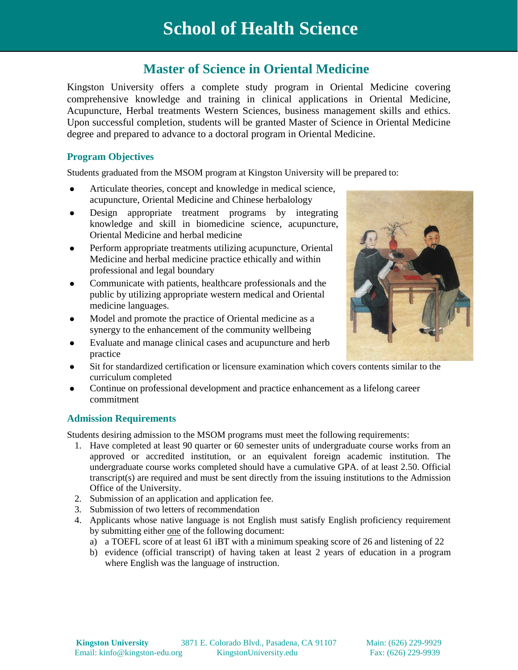# **Master of Science in Oriental Medicine**

Kingston University offers a complete study program in Oriental Medicine covering comprehensive knowledge and training in clinical applications in Oriental Medicine, Acupuncture, Herbal treatments Western Sciences, business management skills and ethics. Upon successful completion, students will be granted Master of Science in Oriental Medicine degree and prepared to advance to a doctoral program in Oriental Medicine.

# **Program Objectives**

Students graduated from the MSOM program at Kingston University will be prepared to:

- Articulate theories, concept and knowledge in medical science, acupuncture, Oriental Medicine and Chinese herbalology
- Design appropriate treatment programs by integrating knowledge and skill in biomedicine science, acupuncture, Oriental Medicine and herbal medicine
- Perform appropriate treatments utilizing acupuncture, Oriental Medicine and herbal medicine practice ethically and within professional and legal boundary
- Communicate with patients, healthcare professionals and the public by utilizing appropriate western medical and Oriental medicine languages.
- Model and promote the practice of Oriental medicine as a synergy to the enhancement of the community wellbeing
- Evaluate and manage clinical cases and acupuncture and herb practice
- Sit for standardized certification or licensure examination which covers contents similar to the curriculum completed
- Continue on professional development and practice enhancement as a lifelong career commitment

### **Admission Requirements**

Students desiring admission to the MSOM programs must meet the following requirements:

- 1. Have completed at least 90 quarter or 60 semester units of undergraduate course works from an approved or accredited institution, or an equivalent foreign academic institution. The undergraduate course works completed should have a cumulative GPA. of at least 2.50. Official transcript(s) are required and must be sent directly from the issuing institutions to the Admission Office of the University.
- 2. Submission of an application and application fee.
- 3. Submission of two letters of recommendation
- 4. Applicants whose native language is not English must satisfy English proficiency requirement by submitting either one of the following document:
	- a) a TOEFL score of at least 61 iBT with a minimum speaking score of 26 and listening of 22
	- b) evidence (official transcript) of having taken at least 2 years of education in a program where English was the language of instruction.